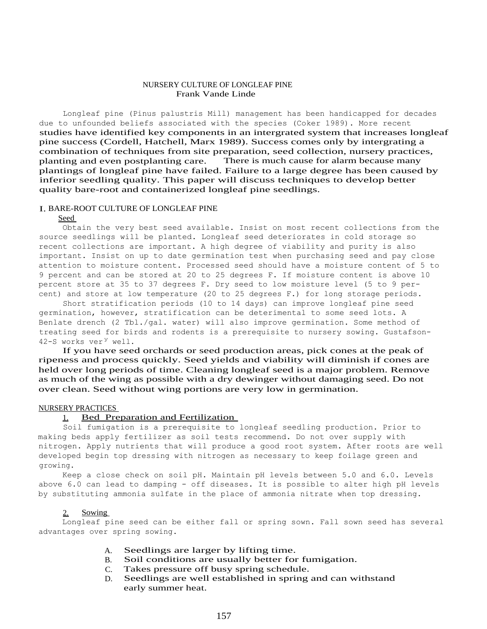# NURSERY CULTURE OF LONGLEAF PINE Frank Vande Linde

Longleaf pine (Pinus palustris Mill) management has been handicapped for decades due to unfounded beliefs associated with the species (Coker 1989). More recent studies have identified key components in an intergrated system that increases longleaf pine success (Cordell, Hatchell, Marx 1989). Success comes only by intergrating a combination of techniques from site preparation, seed collection, nursery practices, planting and even postplanting care. There is much cause for alarm because many plantings of longleaf pine have failed. Failure to a large degree has been caused by inferior seedling quality. This paper will discuss techniques to develop better quality bare-root and containerized longleaf pine seedlings.

## I. BARE-ROOT CULTURE OF LONGLEAF PINE

# Seed

Obtain the very best seed available. Insist on most recent collections from the source seedlings will be planted. Longleaf seed deteriorates in cold storage so recent collections are important. A high degree of viability and purity is also important. Insist on up to date germination test when purchasing seed and pay close attention to moisture content. Processed seed should have a moisture content of 5 to 9 percent and can be stored at 20 to 25 degrees F. If moisture content is above 10 percent store at 35 to 37 degrees F. Dry seed to low moisture level (5 to 9 percent) and store at low temperature (20 to 25 degrees F.) for long storage periods.

Short stratification periods (10 to 14 days) can improve longleaf pine seed germination, however, stratification can be deterimental to some seed lots. A Benlate drench (2 Tbl./gal. water) will also improve germination. Some method of treating seed for birds and rodents is a prerequisite to nursery sowing. Gustafson-42-S works ver<sup>y</sup> well.

If you have seed orchards or seed production areas, pick cones at the peak of ripeness and process quickly. Seed yields and viability will diminish if cones are held over long periods of time. Cleaning longleaf seed is a major problem. Remove as much of the wing as possible with a dry dewinger without damaging seed. Do not over clean. Seed without wing portions are very low in germination.

#### NURSERY PRACTICES

# 1. Bed Preparation and Fertilization

Soil fumigation is a prerequisite to longleaf seedling production. Prior to making beds apply fertilizer as soil tests recommend. Do not over supply with nitrogen. Apply nutrients that will produce a good root system. After roots are well developed begin top dressing with nitrogen as necessary to keep foilage green and growing.

Keep a close check on soil pH. Maintain pH levels between 5.0 and 6.0. Levels above 6.0 can lead to damping - off diseases. It is possible to alter high pH levels by substituting ammonia sulfate in the place of ammonia nitrate when top dressing.

# 2. Sowing

Longleaf pine seed can be either fall or spring sown. Fall sown seed has several advantages over spring sowing.

- A. Seedlings are larger by lifting time.
- B. Soil conditions are usually better for fumigation.
- C. Takes pressure off busy spring schedule.
- D. Seedlings are well established in spring and can withstand early summer heat.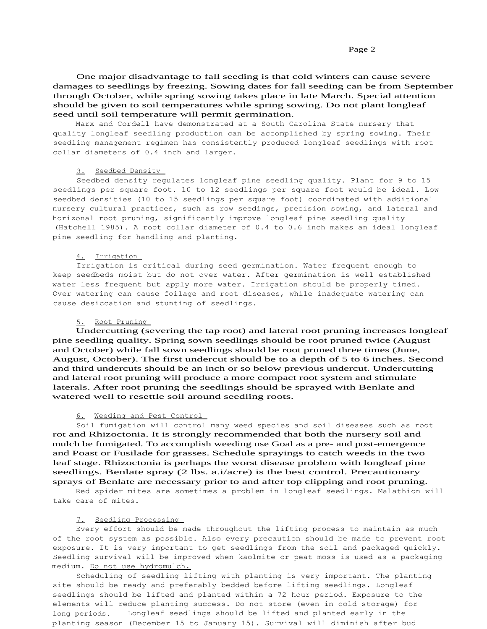One major disadvantage to fall seeding is that cold winters can cause severe damages to seedlings by freezing. Sowing dates for fall seeding can be from September through October, while spring sowing takes place in late March. Special attention should be given to soil temperatures while spring sowing. Do not plant longleaf seed until soil temperature will permit germination.

Marx and Cordell have demonstrated at a South Carolina State nursery that quality longleaf seedling production can be accomplished by spring sowing. Their seedling management regimen has consistently produced longleaf seedlings with root collar diameters of 0.4 inch and larger.

### 3. Seedbed Density

Seedbed density regulates longleaf pine seedling quality. Plant for 9 to 15 seedlings per square foot. 10 to 12 seedlings per square foot would be ideal. Low seedbed densities (10 to 15 seedlings per square foot) coordinated with additional nursery cultural practices, such as row seedings, precision sowing, and lateral and horizonal root pruning, significantly improve longleaf pine seedling quality (Hatchell 1985). A root collar diameter of 0.4 to 0.6 inch makes an ideal longleaf pine seedling for handling and planting.

# 4. Irrigation

Irrigation is critical during seed germination. Water frequent enough to keep seedbeds moist but do not over water. After germination is well established water less frequent but apply more water. Irrigation should be properly timed. Over watering can cause foilage and root diseases, while inadequate watering can cause desiccation and stunting of seedlings.

### 5. Root Pruning

Undercutting (severing the tap root) and lateral root pruning increases longleaf pine seedling quality. Spring sown seedlings should be root pruned twice (August and October) while fall sown seedlings should be root pruned three times (June, August, October). The first undercut should be to a depth of 5 to 6 inches. Second and third undercuts should be an inch or so below previous undercut. Undercutting and lateral root pruning will produce a more compact root system and stimulate laterals. After root pruning the seedlings should be sprayed with Benlate and watered well to resettle soil around seedling roots.

#### 6. Weeding and Pest Control

Soil fumigation will control many weed species and soil diseases such as root rot and Rhizoctonia. It is strongly recommended that both the nursery soil and mulch be fumigated. To accomplish weeding use Goal as a pre- and post-emergence and Poast or Fusilade for grasses. Schedule sprayings to catch weeds in the two leaf stage. Rhizoctonia is perhaps the worst disease problem with longleaf pine seedlings. Benlate spray (2 lbs. a.i/acre) is the best control. Precautionary sprays of Benlate are necessary prior to and after top clipping and root pruning.

Red spider mites are sometimes a problem in longleaf seedlings. Malathion will take care of mites.

# 7. Seedling Processing

Every effort should be made throughout the lifting process to maintain as much of the root system as possible. Also every precaution should be made to prevent root exposure. It is very important to get seedlings from the soil and packaged quickly. Seedling survival will be improved when kaolmite or peat moss is used as a packaging medium. Do not use hydromulch.

Scheduling of seedling lifting with planting is very important. The planting site should be ready and preferably bedded before lifting seedlings. Longleaf seedlings should be lifted and planted within a 72 hour period. Exposure to the elements will reduce planting success. Do not store (even in cold storage) for long periods. Longleaf seedlings should be lifted and planted early in the planting season (December 15 to January 15). Survival will diminish after bud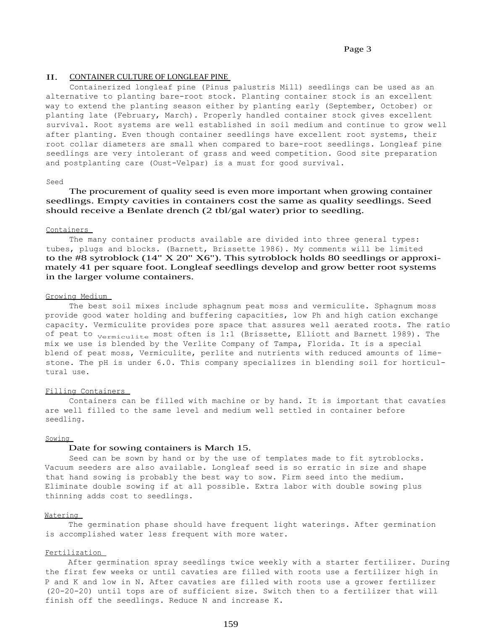# II. CONTAINER CULTURE OF LONGLEAF PINE

Containerized longleaf pine (Pinus palustris Mill) seedlings can be used as an alternative to planting bare-root stock. Planting container stock is an excellent way to extend the planting season either by planting early (September, October) or planting late (February, March). Properly handled container stock gives excellent survival. Root systems are well established in soil medium and continue to grow well after planting. Even though container seedlings have excellent root systems, their root collar diameters are small when compared to bare-root seedlings. Longleaf pine seedlings are very intolerant of grass and weed competition. Good site preparation and postplanting care (Oust-Velpar) is a must for good survival.

#### Seed

The procurement of quality seed is even more important when growing container seedlings. Empty cavities in containers cost the same as quality seedlings. Seed should receive a Benlate drench (2 tbl/gal water) prior to seedling.

#### Containers

The many container products available are divided into three general types: tubes, plugs and blocks. (Barnett, Brissette 1986). My comments will be limited to the #8 sytroblock (14" X 20" X6"). This sytroblock holds 80 seedlings or approximately 41 per square foot. Longleaf seedlings develop and grow better root systems in the larger volume containers.

#### Growing Medium

The best soil mixes include sphagnum peat moss and vermiculite. Sphagnum moss provide good water holding and buffering capacities, low Ph and high cation exchange capacity. Vermiculite provides pore space that assures well aerated roots. The ratio of peat to  $V_{\text{semiculite}}$  most often is 1:1 (Brissette, Elliott and Barnett 1989). The mix we use is blended by the Verlite Company of Tampa, Florida. It is a special blend of peat moss, Vermiculite, perlite and nutrients with reduced amounts of limestone. The pH is under 6.0. This company specializes in blending soil for horticultural use.

#### Filling Containers

Containers can be filled with machine or by hand. It is important that cavaties are well filled to the same level and medium well settled in container before seedling.

#### Sowing

#### Date for sowing containers is March 15.

Seed can be sown by hand or by the use of templates made to fit sytroblocks. Vacuum seeders are also available. Longleaf seed is so erratic in size and shape that hand sowing is probably the best way to sow. Firm seed into the medium. Eliminate double sowing if at all possible. Extra labor with double sowing plus thinning adds cost to seedlings.

#### Watering

The germination phase should have frequent light waterings. After germination is accomplished water less frequent with more water.

## Fertilization

After germination spray seedlings twice weekly with a starter fertilizer. During the first few weeks or until cavaties are filled with roots use a fertilizer high in P and K and low in N. After cavaties are filled with roots use a grower fertilizer (20-20-20) until tops are of sufficient size. Switch then to a fertilizer that will finish off the seedlings. Reduce N and increase K.